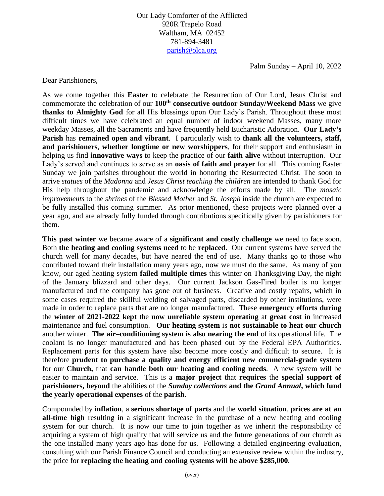Our Lady Comforter of the Afflicted 920R Trapelo Road Waltham, MA 02452 781-894-3481 [parish@olca.org](mailto:parish@olca.org)

Palm Sunday – April 10, 2022

Dear Parishioners,

As we come together this **Easter** to celebrate the Resurrection of Our Lord, Jesus Christ and commemorate the celebration of our **100th consecutive outdoor Sunday/Weekend Mass** we give **thanks to Almighty God** for all His blessings upon Our Lady's Parish. Throughout these most difficult times we have celebrated an equal number of indoor weekend Masses, many more weekday Masses, all the Sacraments and have frequently held Eucharistic Adoration. **Our Lady's Parish** has **remained open and vibrant**. I particularly wish to **thank all the volunteers, staff, and parishioners**, **whether longtime or new worshippers**, for their support and enthusiasm in helping us find **innovative ways** to keep the practice of our **faith alive** without interruption. Our Lady's served and continues to serve as an **oasis of faith and prayer** for all. This coming Easter Sunday we join parishes throughout the world in honoring the Resurrected Christ. The soon to arrive *statues* of the *Madonna* and *Jesus Christ teaching the children* are intended to thank God for His help throughout the pandemic and acknowledge the efforts made by all. The *mosaic improvements* to the *shrines* of the *Blessed Mother* and *St. Joseph* inside the church are expected to be fully installed this coming summer. As prior mentioned, these projects were planned over a year ago, and are already fully funded through contributions specifically given by parishioners for them.

**This past winter** we became aware of a **significant and costly challenge** we need to face soon. Both **the heating and cooling systems need** to be **replaced.** Our current systems have served the church well for many decades, but have neared the end of use. Many thanks go to those who contributed toward their installation many years ago, now we must do the same. As many of you know, our aged heating system **failed multiple times** this winter on Thanksgiving Day, the night of the January blizzard and other days. Our current Jackson Gas-Fired boiler is no longer manufactured and the company has gone out of business. Creative and costly repairs, which in some cases required the skillful welding of salvaged parts, discarded by other institutions, were made in order to replace parts that are no longer manufactured. These **emergency efforts during**  the **winter of 2021-2022 kept** the **now unreliable system operating** at **great cost** in increased maintenance and fuel consumption. **Our heating system** is **not sustainable to heat our church**  another winter. **The air–conditioning system is also nearing the end** of its operational life. The coolant is no longer manufactured and has been phased out by the Federal EPA Authorities. Replacement parts for this system have also become more costly and difficult to secure. It is therefore **prudent to purchase a quality and energy efficient new commercial-grade system**  for our **Church,** that **can handle both our heating and cooling needs**. A new system will be easier to maintain and service. This is a **major project** that **requires** the **special support of parishioners, beyond** the abilities of the *Sunday collections* **and the** *Grand Annual***, which fund the yearly operational expenses** of the **parish**.

Compounded by **inflation**, a **serious shortage of parts** and the **world situation**, **prices are at an all-time high** resulting in a significant increase in the purchase of a new heating and cooling system for our church. It is now our time to join together as we inherit the responsibility of acquiring a system of high quality that will service us and the future generations of our church as the one installed many years ago has done for us. Following a detailed engineering evaluation, consulting with our Parish Finance Council and conducting an extensive review within the industry, the price for **replacing the heating and cooling systems will be above \$285,000**.